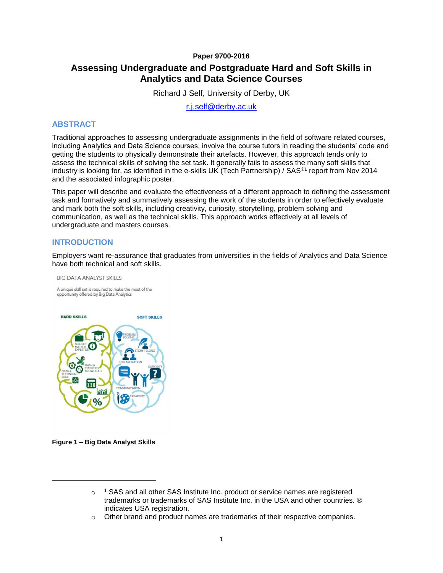### **Paper 9700-2016**

# **Assessing Undergraduate and Postgraduate Hard and Soft Skills in Analytics and Data Science Courses**

Richard J Self, University of Derby, UK

[r.j.self@derby.ac.uk](mailto:r.j.self@derby.ac.uk)

### **ABSTRACT**

Traditional approaches to assessing undergraduate assignments in the field of software related courses, including Analytics and Data Science courses, involve the course tutors in reading the students' code and getting the students to physically demonstrate their artefacts. However, this approach tends only to assess the technical skills of solving the set task. It generally fails to assess the many soft skills that industry is looking for, as identified in the e-skills UK (Tech Partnership) / SAS<sup>®1</sup> report from Nov 2014 and the associated infographic poster.

This paper will describe and evaluate the effectiveness of a different approach to defining the assessment task and formatively and summatively assessing the work of the students in order to effectively evaluate and mark both the soft skills, including creativity, curiosity, storytelling, problem solving and communication, as well as the technical skills. This approach works effectively at all levels of undergraduate and masters courses.

# **INTRODUCTION**

Employers want re-assurance that graduates from universities in the fields of Analytics and Data Science have both technical and soft skills.



**Figure 1 – Big Data Analyst Skills**

<span id="page-0-0"></span>l

 $\circ$  <sup>1</sup> SAS and all other SAS Institute Inc. product or service names are registered trademarks or trademarks of SAS Institute Inc. in the USA and other countries. ® indicates USA registration.

o Other brand and product names are trademarks of their respective companies.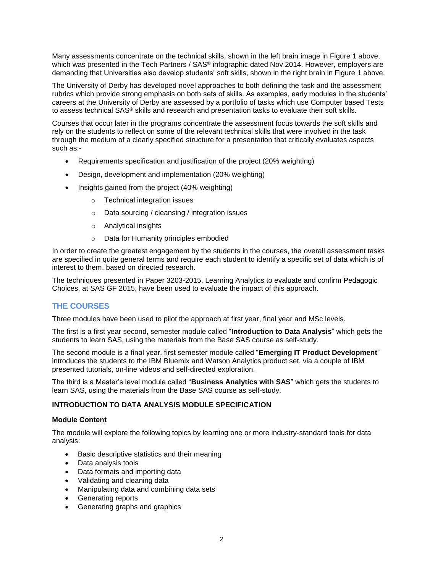Many assessments concentrate on the technical skills, shown in the left brain image in [Figure 1](#page-0-0) above, which was presented in the Tech Partners / SAS<sup>®</sup> infographic dated Nov 2014. However, employers are demanding that Universities also develop students' soft skills, shown in the right brain in [Figure 1](#page-0-0) above.

The University of Derby has developed novel approaches to both defining the task and the assessment rubrics which provide strong emphasis on both sets of skills. As examples, early modules in the students' careers at the University of Derby are assessed by a portfolio of tasks which use Computer based Tests to assess technical SAS® skills and research and presentation tasks to evaluate their soft skills.

Courses that occur later in the programs concentrate the assessment focus towards the soft skills and rely on the students to reflect on some of the relevant technical skills that were involved in the task through the medium of a clearly specified structure for a presentation that critically evaluates aspects such as:-

- Requirements specification and justification of the project (20% weighting)
- Design, development and implementation (20% weighting)
- Insights gained from the project (40% weighting)
	- o Technical integration issues
	- o Data sourcing / cleansing / integration issues
	- o Analytical insights
	- o Data for Humanity principles embodied

In order to create the greatest engagement by the students in the courses, the overall assessment tasks are specified in quite general terms and require each student to identify a specific set of data which is of interest to them, based on directed research.

The techniques presented in Paper 3203-2015, Learning Analytics to evaluate and confirm Pedagogic Choices, at SAS GF 2015, have been used to evaluate the impact of this approach.

# **THE COURSES**

Three modules have been used to pilot the approach at first year, final year and MSc levels.

The first is a first year second, semester module called "I**ntroduction to Data Analysis**" which gets the students to learn SAS, using the materials from the Base SAS course as self-study.

The second module is a final year, first semester module called "**Emerging IT Product Development**" introduces the students to the IBM Bluemix and Watson Analytics product set, via a couple of IBM presented tutorials, on-line videos and self-directed exploration.

The third is a Master's level module called "**Business Analytics with SAS**" which gets the students to learn SAS, using the materials from the Base SAS course as self-study.

#### **INTRODUCTION TO DATA ANALYSIS MODULE SPECIFICATION**

#### **Module Content**

The module will explore the following topics by learning one or more industry-standard tools for data analysis:

- Basic descriptive statistics and their meaning
- Data analysis tools
- Data formats and importing data
- Validating and cleaning data
- Manipulating data and combining data sets
- Generating reports
- Generating graphs and graphics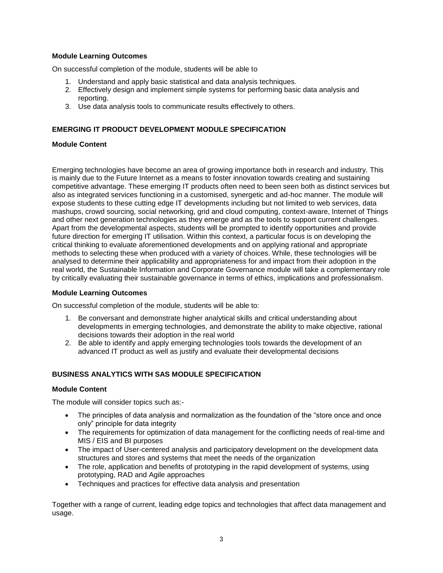### **Module Learning Outcomes**

On successful completion of the module, students will be able to

- 1. Understand and apply basic statistical and data analysis techniques.
- 2. Effectively design and implement simple systems for performing basic data analysis and reporting.
- 3. Use data analysis tools to communicate results effectively to others.

### **EMERGING IT PRODUCT DEVELOPMENT MODULE SPECIFICATION**

### **Module Content**

Emerging technologies have become an area of growing importance both in research and industry. This is mainly due to the Future Internet as a means to foster innovation towards creating and sustaining competitive advantage. These emerging IT products often need to been seen both as distinct services but also as integrated services functioning in a customised, synergetic and ad-hoc manner. The module will expose students to these cutting edge IT developments including but not limited to web services, data mashups, crowd sourcing, social networking, grid and cloud computing, context-aware, Internet of Things and other next generation technologies as they emerge and as the tools to support current challenges. Apart from the developmental aspects, students will be prompted to identify opportunities and provide future direction for emerging IT utilisation. Within this context, a particular focus is on developing the critical thinking to evaluate aforementioned developments and on applying rational and appropriate methods to selecting these when produced with a variety of choices. While, these technologies will be analysed to determine their applicability and appropriateness for and impact from their adoption in the real world, the Sustainable Information and Corporate Governance module will take a complementary role by critically evaluating their sustainable governance in terms of ethics, implications and professionalism.

#### **Module Learning Outcomes**

On successful completion of the module, students will be able to:

- 1. Be conversant and demonstrate higher analytical skills and critical understanding about developments in emerging technologies, and demonstrate the ability to make objective, rational decisions towards their adoption in the real world
- 2. Be able to identify and apply emerging technologies tools towards the development of an advanced IT product as well as justify and evaluate their developmental decisions

#### **BUSINESS ANALYTICS WITH SAS MODULE SPECIFICATION**

#### **Module Content**

The module will consider topics such as:-

- The principles of data analysis and normalization as the foundation of the "store once and once only" principle for data integrity
- The requirements for optimization of data management for the conflicting needs of real-time and MIS / EIS and BI purposes
- The impact of User-centered analysis and participatory development on the development data structures and stores and systems that meet the needs of the organization
- The role, application and benefits of prototyping in the rapid development of systems, using prototyping, RAD and Agile approaches
- Techniques and practices for effective data analysis and presentation

Together with a range of current, leading edge topics and technologies that affect data management and usage.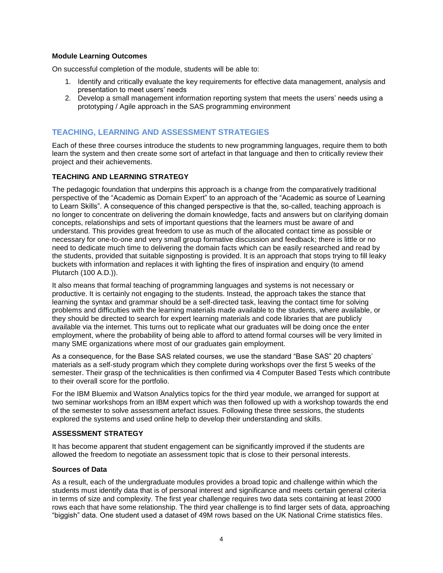#### **Module Learning Outcomes**

On successful completion of the module, students will be able to:

- 1. Identify and critically evaluate the key requirements for effective data management, analysis and presentation to meet users' needs
- 2. Develop a small management information reporting system that meets the users' needs using a prototyping / Agile approach in the SAS programming environment

### **TEACHING, LEARNING AND ASSESSMENT STRATEGIES**

Each of these three courses introduce the students to new programming languages, require them to both learn the system and then create some sort of artefact in that language and then to critically review their project and their achievements.

#### **TEACHING AND LEARNING STRATEGY**

The pedagogic foundation that underpins this approach is a change from the comparatively traditional perspective of the "Academic as Domain Expert" to an approach of the "Academic as source of Learning to Learn Skills". A consequence of this changed perspective is that the, so-called, teaching approach is no longer to concentrate on delivering the domain knowledge, facts and answers but on clarifying domain concepts, relationships and sets of important questions that the learners must be aware of and understand. This provides great freedom to use as much of the allocated contact time as possible or necessary for one-to-one and very small group formative discussion and feedback; there is little or no need to dedicate much time to delivering the domain facts which can be easily researched and read by the students, provided that suitable signposting is provided. It is an approach that stops trying to fill leaky buckets with information and replaces it with lighting the fires of inspiration and enquiry (to amend Plutarch (100 A.D.)).

It also means that formal teaching of programming languages and systems is not necessary or productive. It is certainly not engaging to the students. Instead, the approach takes the stance that learning the syntax and grammar should be a self-directed task, leaving the contact time for solving problems and difficulties with the learning materials made available to the students, where available, or they should be directed to search for expert learning materials and code libraries that are publicly available via the internet. This turns out to replicate what our graduates will be doing once the enter employment, where the probability of being able to afford to attend formal courses will be very limited in many SME organizations where most of our graduates gain employment.

As a consequence, for the Base SAS related courses, we use the standard "Base SAS" 20 chapters' materials as a self-study program which they complete during workshops over the first 5 weeks of the semester. Their grasp of the technicalities is then confirmed via 4 Computer Based Tests which contribute to their overall score for the portfolio.

For the IBM Bluemix and Watson Analytics topics for the third year module, we arranged for support at two seminar workshops from an IBM expert which was then followed up with a workshop towards the end of the semester to solve assessment artefact issues. Following these three sessions, the students explored the systems and used online help to develop their understanding and skills.

#### **ASSESSMENT STRATEGY**

It has become apparent that student engagement can be significantly improved if the students are allowed the freedom to negotiate an assessment topic that is close to their personal interests.

#### **Sources of Data**

As a result, each of the undergraduate modules provides a broad topic and challenge within which the students must identify data that is of personal interest and significance and meets certain general criteria in terms of size and complexity. The first year challenge requires two data sets containing at least 2000 rows each that have some relationship. The third year challenge is to find larger sets of data, approaching "biggish" data. One student used a dataset of 49M rows based on the UK National Crime statistics files.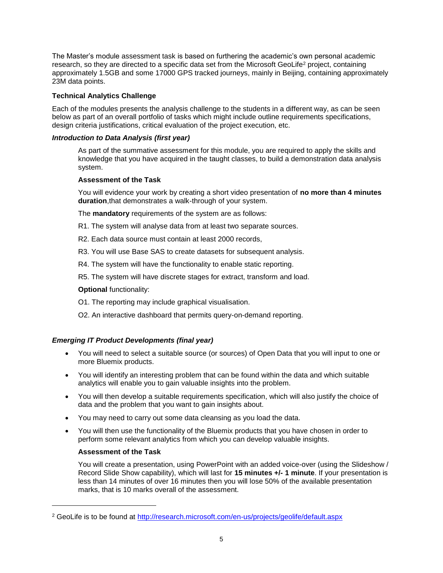The Master's module assessment task is based on furthering the academic's own personal academic research, so they are directed to a specific data set from the Microsoft GeoLife<sup>2</sup> project, containing approximately 1.5GB and some 17000 GPS tracked journeys, mainly in Beijing, containing approximately 23M data points.

### **Technical Analytics Challenge**

Each of the modules presents the analysis challenge to the students in a different way, as can be seen below as part of an overall portfolio of tasks which might include outline requirements specifications, design criteria justifications, critical evaluation of the project execution, etc.

#### *Introduction to Data Analysis (first year)*

As part of the summative assessment for this module, you are required to apply the skills and knowledge that you have acquired in the taught classes, to build a demonstration data analysis system.

#### **Assessment of the Task**

You will evidence your work by creating a short video presentation of **no more than 4 minutes duration**,that demonstrates a walk-through of your system.

The **mandatory** requirements of the system are as follows:

- R1. The system will analyse data from at least two separate sources.
- R2. Each data source must contain at least 2000 records,
- R3. You will use Base SAS to create datasets for subsequent analysis.
- R4. The system will have the functionality to enable static reporting.
- R5. The system will have discrete stages for extract, transform and load.

#### **Optional** functionality:

- O1. The reporting may include graphical visualisation.
- O2. An interactive dashboard that permits query-on-demand reporting.

### *Emerging IT Product Developments (final year)*

- You will need to select a suitable source (or sources) of Open Data that you will input to one or more Bluemix products.
- You will identify an interesting problem that can be found within the data and which suitable analytics will enable you to gain valuable insights into the problem.
- You will then develop a suitable requirements specification, which will also justify the choice of data and the problem that you want to gain insights about.
- You may need to carry out some data cleansing as you load the data.
- You will then use the functionality of the Bluemix products that you have chosen in order to perform some relevant analytics from which you can develop valuable insights.

#### **Assessment of the Task**

l

You will create a presentation, using PowerPoint with an added voice-over (using the Slideshow / Record Slide Show capability), which will last for **15 minutes +/- 1 minute**. If your presentation is less than 14 minutes of over 16 minutes then you will lose 50% of the available presentation marks, that is 10 marks overall of the assessment.

<sup>2</sup> GeoLife is to be found at<http://research.microsoft.com/en-us/projects/geolife/default.aspx>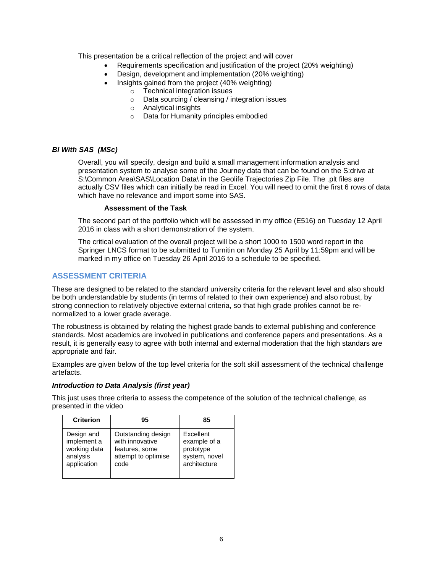This presentation be a critical reflection of the project and will cover

- Requirements specification and justification of the project (20% weighting)
- Design, development and implementation (20% weighting)
- Insights gained from the project (40% weighting)
	- o Technical integration issues
	- o Data sourcing / cleansing / integration issues
	- o Analytical insights
	- o Data for Humanity principles embodied

#### *BI With SAS (MSc)*

Overall, you will specify, design and build a small management information analysis and presentation system to analyse some of the Journey data that can be found on the S:drive at S:\Common Area\SAS\Location Data\ in the Geolife Trajectories Zip File. The .plt files are actually CSV files which can initially be read in Excel. You will need to omit the first 6 rows of data which have no relevance and import some into SAS.

#### **Assessment of the Task**

The second part of the portfolio which will be assessed in my office (E516) on Tuesday 12 April 2016 in class with a short demonstration of the system.

The critical evaluation of the overall project will be a short 1000 to 1500 word report in the Springer LNCS format to be submitted to Turnitin on Monday 25 April by 11:59pm and will be marked in my office on Tuesday 26 April 2016 to a schedule to be specified.

# **ASSESSMENT CRITERIA**

These are designed to be related to the standard university criteria for the relevant level and also should be both understandable by students (in terms of related to their own experience) and also robust, by strong connection to relatively objective external criteria, so that high grade profiles cannot be renormalized to a lower grade average.

The robustness is obtained by relating the highest grade bands to external publishing and conference standards. Most academics are involved in publications and conference papers and presentations. As a result, it is generally easy to agree with both internal and external moderation that the high standars are appropriate and fair.

Examples are given below of the top level criteria for the soft skill assessment of the technical challenge artefacts.

#### *Introduction to Data Analysis (first year)*

This just uses three criteria to assess the competence of the solution of the technical challenge, as presented in the video

| <b>Criterion</b> | 95                  | 85            |
|------------------|---------------------|---------------|
| Design and       | Outstanding design  | Excellent     |
| implement a      | with innovative     | example of a  |
| working data     | features, some      | prototype     |
| analysis         | attempt to optimise | system, novel |
| application      | code                | architecture  |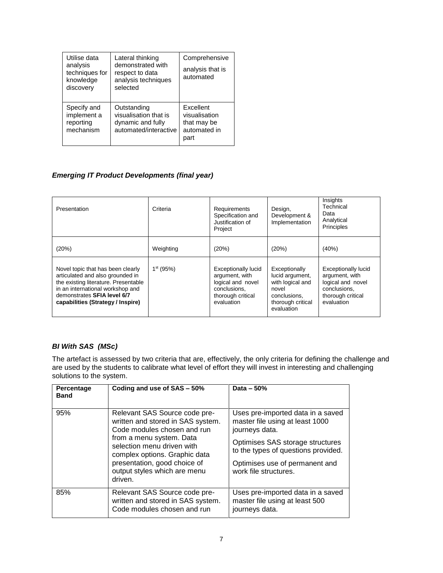| Utilise data<br>analysis<br>techniques for<br>knowledge<br>discovery | Lateral thinking<br>demonstrated with<br>respect to data<br>analysis techniques<br>selected | Comprehensive<br>analysis that is<br>automated                    |
|----------------------------------------------------------------------|---------------------------------------------------------------------------------------------|-------------------------------------------------------------------|
| Specify and<br>implement a<br>reporting<br>mechanism                 | Outstanding<br>visualisation that is<br>dynamic and fully<br>automated/interactive          | Excellent<br>visualisation<br>that may be<br>automated in<br>part |

# *Emerging IT Product Developments (final year)*

| Presentation                                                                                                                                                                                                          | Criteria    | Requirements<br>Specification and<br>Justification of<br>Project                                                     | Design,<br>Development &<br>Implementation                                                                       | Insights<br>Technical<br>Data<br>Analytical<br>Principles                                                            |
|-----------------------------------------------------------------------------------------------------------------------------------------------------------------------------------------------------------------------|-------------|----------------------------------------------------------------------------------------------------------------------|------------------------------------------------------------------------------------------------------------------|----------------------------------------------------------------------------------------------------------------------|
| (20%)                                                                                                                                                                                                                 | Weighting   | (20%)                                                                                                                | (20%)                                                                                                            | (40%)                                                                                                                |
| Novel topic that has been clearly<br>articulated and also grounded in<br>the existing literature. Presentable<br>in an international workshop and<br>demonstrates SFIA level 6/7<br>capabilities (Strategy / Inspire) | $1st$ (95%) | <b>Exceptionally lucid</b><br>argument, with<br>logical and novel<br>conclusions.<br>thorough critical<br>evaluation | Exceptionally<br>lucid argument,<br>with logical and<br>novel<br>conclusions.<br>thorough critical<br>evaluation | <b>Exceptionally lucid</b><br>argument, with<br>logical and novel<br>conclusions,<br>thorough critical<br>evaluation |

# *BI With SAS (MSc)*

The artefact is assessed by two criteria that are, effectively, the only criteria for defining the challenge and are used by the students to calibrate what level of effort they will invest in interesting and challenging solutions to the system.

| Percentage<br><b>Band</b> | Coding and use of SAS - 50%                                                                                                                                                                                                                                             | Data $-50%$                                                                            |
|---------------------------|-------------------------------------------------------------------------------------------------------------------------------------------------------------------------------------------------------------------------------------------------------------------------|----------------------------------------------------------------------------------------|
| 95%                       | Relevant SAS Source code pre-<br>written and stored in SAS system.<br>Code modules chosen and run<br>from a menu system. Data<br>selection menu driven with<br>complex options. Graphic data<br>presentation, good choice of<br>output styles which are menu<br>driven. | Uses pre-imported data in a saved<br>master file using at least 1000<br>journeys data. |
|                           |                                                                                                                                                                                                                                                                         | Optimises SAS storage structures<br>to the types of questions provided.                |
|                           |                                                                                                                                                                                                                                                                         | Optimises use of permanent and<br>work file structures.                                |
| 85%                       | Relevant SAS Source code pre-<br>written and stored in SAS system.<br>Code modules chosen and run                                                                                                                                                                       | Uses pre-imported data in a saved<br>master file using at least 500<br>journeys data.  |